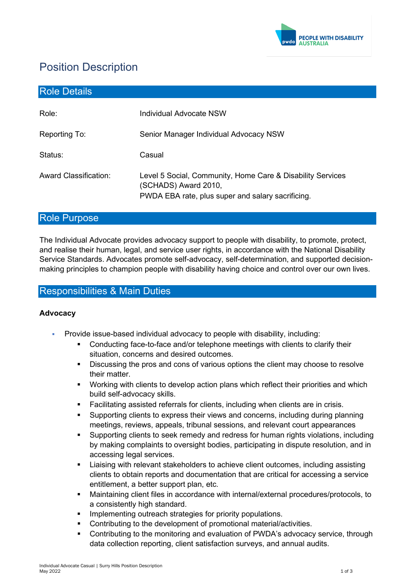

# Position Description

| <b>Role Details</b>          |                                                                                                                                         |
|------------------------------|-----------------------------------------------------------------------------------------------------------------------------------------|
| Role:                        | Individual Advocate NSW                                                                                                                 |
| Reporting To:                | Senior Manager Individual Advocacy NSW                                                                                                  |
| Status:                      | Casual                                                                                                                                  |
| <b>Award Classification:</b> | Level 5 Social, Community, Home Care & Disability Services<br>(SCHADS) Award 2010,<br>PWDA EBA rate, plus super and salary sacrificing. |

# Role Purpose

The Individual Advocate provides advocacy support to people with disability, to promote, protect, and realise their human, legal, and service user rights, in accordance with the National Disability Service Standards. Advocates promote self-advocacy, self-determination, and supported decisionmaking principles to champion people with disability having choice and control over our own lives.

# Responsibilities & Main Duties

## **Advocacy**

- Provide issue-based individual advocacy to people with disability, including:
	- Conducting face-to-face and/or telephone meetings with clients to clarify their situation, concerns and desired outcomes.
	- Discussing the pros and cons of various options the client may choose to resolve their matter.
	- Working with clients to develop action plans which reflect their priorities and which build self-advocacy skills.
	- Facilitating assisted referrals for clients, including when clients are in crisis.
	- Supporting clients to express their views and concerns, including during planning meetings, reviews, appeals, tribunal sessions, and relevant court appearances
	- Supporting clients to seek remedy and redress for human rights violations, including by making complaints to oversight bodies, participating in dispute resolution, and in accessing legal services.
	- Liaising with relevant stakeholders to achieve client outcomes, including assisting clients to obtain reports and documentation that are critical for accessing a service entitlement, a better support plan, etc.
	- Maintaining client files in accordance with internal/external procedures/protocols, to a consistently high standard.
	- Implementing outreach strategies for priority populations.
	- Contributing to the development of promotional material/activities.
	- Contributing to the monitoring and evaluation of PWDA's advocacy service, through data collection reporting, client satisfaction surveys, and annual audits.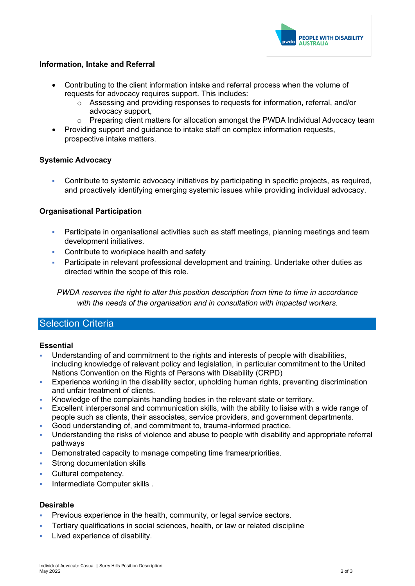

## **Information, Intake and Referral**

- Contributing to the client information intake and referral process when the volume of requests for advocacy requires support. This includes:
	- o Assessing and providing responses to requests for information, referral, and/or advocacy support,
	- $\circ$  Preparing client matters for allocation amongst the PWDA Individual Advocacy team
- Providing support and guidance to intake staff on complex information requests, prospective intake matters.

## **Systemic Advocacy**

 Contribute to systemic advocacy initiatives by participating in specific projects, as required, and proactively identifying emerging systemic issues while providing individual advocacy.

## **Organisational Participation**

- Participate in organisational activities such as staff meetings, planning meetings and team development initiatives.
- Contribute to workplace health and safety
- Participate in relevant professional development and training. Undertake other duties as directed within the scope of this role.

*PWDA reserves the right to alter this position description from time to time in accordance with the needs of the organisation and in consultation with impacted workers.*

## Selection Criteria

### **Essential**

- Understanding of and commitment to the rights and interests of people with disabilities, including knowledge of relevant policy and legislation, in particular commitment to the United Nations Convention on the Rights of Persons with Disability (CRPD)
- Experience working in the disability sector, upholding human rights, preventing discrimination and unfair treatment of clients.
- Knowledge of the complaints handling bodies in the relevant state or territory.
- Excellent interpersonal and communication skills, with the ability to liaise with a wide range of people such as clients, their associates, service providers, and government departments.
- Good understanding of, and commitment to, trauma-informed practice.
- Understanding the risks of violence and abuse to people with disability and appropriate referral pathways
- Demonstrated capacity to manage competing time frames/priorities.
- Strong documentation skills
- **Cultural competency.**
- Intermediate Computer skills .

### **Desirable**

- Previous experience in the health, community, or legal service sectors.
- Tertiary qualifications in social sciences, health, or law or related discipline
- Lived experience of disability.